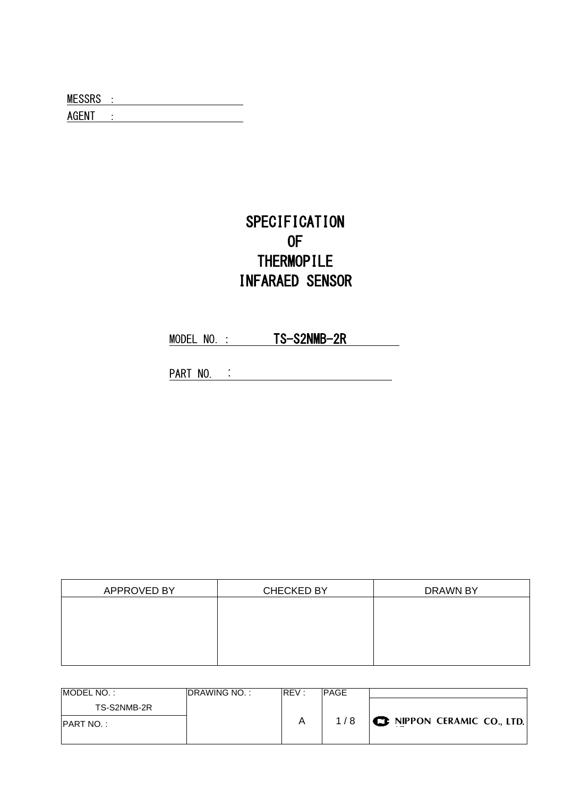MESSRS : WERE SERVED AND THE SAME SERIES AND THE SERIES OF THE SERIES OF THE SERIES OF THE SERIES OF THE SERIES AGENT :

# SPECIFICATION OF **THERMOPILE** INFARAED SENSOR

MODEL NO.: TS-S2NMB-2R

PART NO. :

| APPROVED BY | <b>CHECKED BY</b> | DRAWN BY |
|-------------|-------------------|----------|
|             |                   |          |
|             |                   |          |
|             |                   |          |
|             |                   |          |
|             |                   |          |

| MODEL NO.:        | <b>IDRAWING NO.:</b> | REV: | <b>PAGE</b> |                                    |
|-------------------|----------------------|------|-------------|------------------------------------|
| TS-S2NMB-2R       |                      |      |             |                                    |
| <b>IPART NO.:</b> |                      |      | 1/8         | $\bigcup$ NIPPON CERAMIC CO., LTD. |
|                   |                      |      |             |                                    |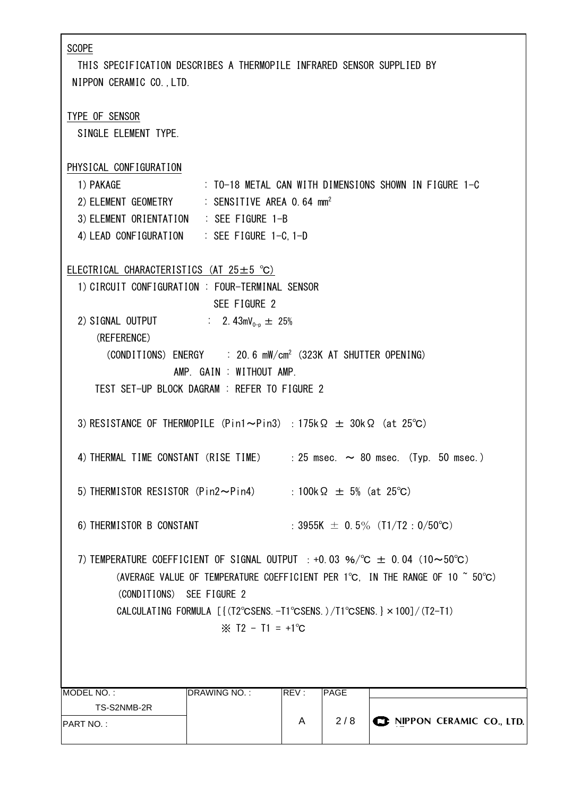| <b>SCOPE</b><br>THIS SPECIFICATION DESCRIBES A THERMOPILE INFRARED SENSOR SUPPLIED BY<br>NIPPON CERAMIC CO., LTD.                                                                                                                                                                                                                                                                          |                                                       |      |      |  |                          |  |
|--------------------------------------------------------------------------------------------------------------------------------------------------------------------------------------------------------------------------------------------------------------------------------------------------------------------------------------------------------------------------------------------|-------------------------------------------------------|------|------|--|--------------------------|--|
| TYPE OF SENSOR<br>SINGLE ELEMENT TYPE.                                                                                                                                                                                                                                                                                                                                                     |                                                       |      |      |  |                          |  |
| PHYSICAL CONFIGURATION<br>1) PAKAGE<br>2) ELEMENT GEOMETRY : SENSITIVE AREA 0.64 mm <sup>2</sup><br>3) ELEMENT ORIENTATION : SEE FIGURE 1-B<br>4) LEAD CONFIGURATION : SEE FIGURE 1-C, 1-D                                                                                                                                                                                                 | : TO-18 METAL CAN WITH DIMENSIONS SHOWN IN FIGURE 1-C |      |      |  |                          |  |
| ELECTRICAL CHARACTERISTICS (AT $25 \pm 5$ °C)<br>1) CIRCUIT CONFIGURATION : FOUR-TERMINAL SENSOR                                                                                                                                                                                                                                                                                           | SEE FIGURE 2                                          |      |      |  |                          |  |
| 2) SIGNAL OUTPUT : $2.43 \text{mV}_{0-p} \pm 25\%$<br>(REFERENCE)<br>(CONDITIONS) ENERGY : 20.6 mW/cm <sup>2</sup> (323K AT SHUTTER OPENING)<br>AMP. GAIN : WITHOUT AMP.<br>TEST SET-UP BLOCK DAGRAM : REFER TO FIGURE 2                                                                                                                                                                   |                                                       |      |      |  |                          |  |
| 3) RESISTANCE OF THERMOPILE (Pin1~Pin3) : 175k $\Omega \pm 30$ k $\Omega$ (at 25°C)                                                                                                                                                                                                                                                                                                        |                                                       |      |      |  |                          |  |
| 4) THERMAL TIME CONSTANT (RISE TIME) $\therefore$ 25 msec. $\sim$ 80 msec. (Typ. 50 msec.)                                                                                                                                                                                                                                                                                                 |                                                       |      |      |  |                          |  |
| 5) THERMISTOR RESISTOR (Pin2~Pin4) : 100k $\Omega \pm 5$ % (at 25°C)                                                                                                                                                                                                                                                                                                                       |                                                       |      |      |  |                          |  |
| 6) THERMISTOR B CONSTANT<br>: 3955K $\pm$ 0.5% (T1/T2: 0/50°C)                                                                                                                                                                                                                                                                                                                             |                                                       |      |      |  |                          |  |
| 7) TEMPERATURE COEFFICIENT OF SIGNAL OUTPUT : +0.03 %/°C $\pm$ 0.04 (10~50°C)<br>(AVERAGE VALUE OF TEMPERATURE COEFFICIENT PER 1°C, IN THE RANGE OF 10 $\degree$ 50°C)<br>(CONDITIONS) SEE FIGURE 2<br>CALCULATING FORMULA [ $\{ (T2^{\circ} \text{CSENS.} - T1^{\circ} \text{CSENS.}) / T1^{\circ} \text{CSENS.} \} \times 100 \}/(T2 - T1)$<br>$\frac{1}{2}$ T2 - T1 = +1 <sup>o</sup> C |                                                       |      |      |  |                          |  |
| MODEL NO.:                                                                                                                                                                                                                                                                                                                                                                                 | DRAWING NO.:                                          | REV: | PAGE |  |                          |  |
| TS-S2NMB-2R                                                                                                                                                                                                                                                                                                                                                                                |                                                       |      |      |  |                          |  |
| <b>PART NO.:</b>                                                                                                                                                                                                                                                                                                                                                                           |                                                       | A    | 2/8  |  | NIPPON CERAMIC CO., LTD. |  |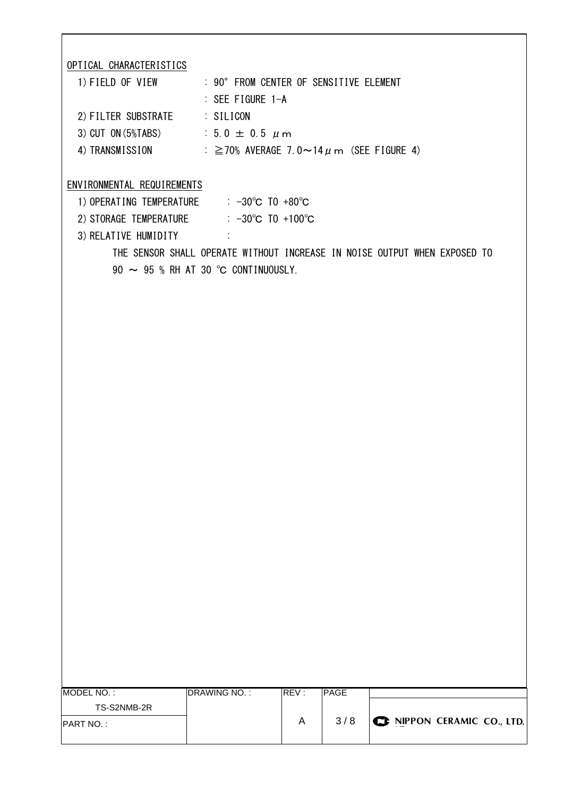OPTICAL CHARACTERISTICS

| 1) FIELD OF VIEW         | : 90° FROM CENTER OF SENSITIVE ELEMENT             |
|--------------------------|----------------------------------------------------|
|                          | $\therefore$ SEE FIGURE 1-A                        |
| 2) FILTER SUBSTRATE      | : SILICON                                          |
| $3)$ CUT ON $(5\%$ TABS) | $: 5.0 \pm 0.5 \mu m$                              |
| 4) TRANSMISSION          | : $\geq$ 70% AVERAGE 7.0~14 $\mu$ m (SEE FIGURE 4) |

#### ENVIRONMENTAL REQUIREMENTS

| 1) OPERATING TEMPERATURE | : $-30^{\circ}$ C TO $+80^{\circ}$ C  |
|--------------------------|---------------------------------------|
| 2) STORAGE TEMPERATURE   | : $-30^{\circ}$ C TO $+100^{\circ}$ C |
| 3) RELATIVE HUMIDITY     |                                       |

THE SENSOR SHALL OPERATE WITHOUT INCREASE IN NOISE OUTPUT WHEN EXPOSED TO 90 ~ 95 % RH AT 30 ℃ CONTINUOUSLY.

| MODEL NO. :       | <b>DRAWING NO.:</b> | REV: | PAGE |                                    |
|-------------------|---------------------|------|------|------------------------------------|
| TS-S2NMB-2R       |                     |      |      |                                    |
| <b>IPART NO.:</b> |                     |      | 3/8  | <b>CE NIPPON CERAMIC CO., LTD.</b> |
|                   |                     |      |      |                                    |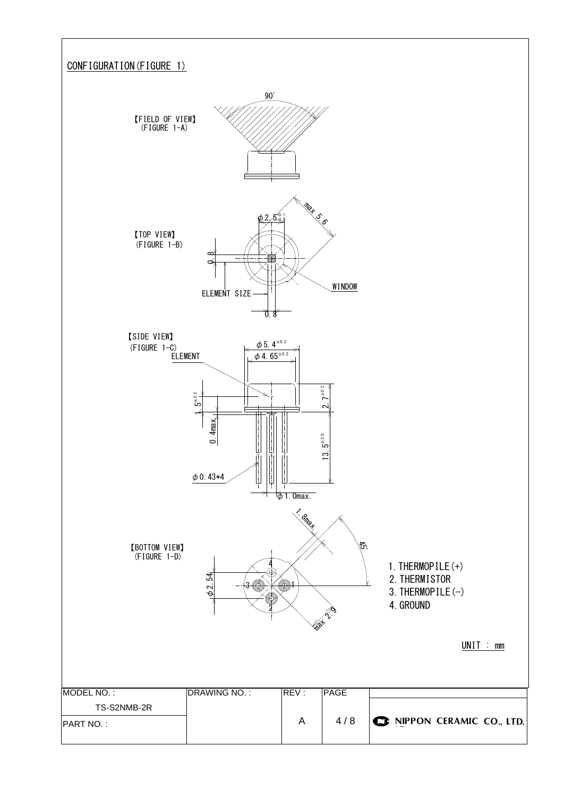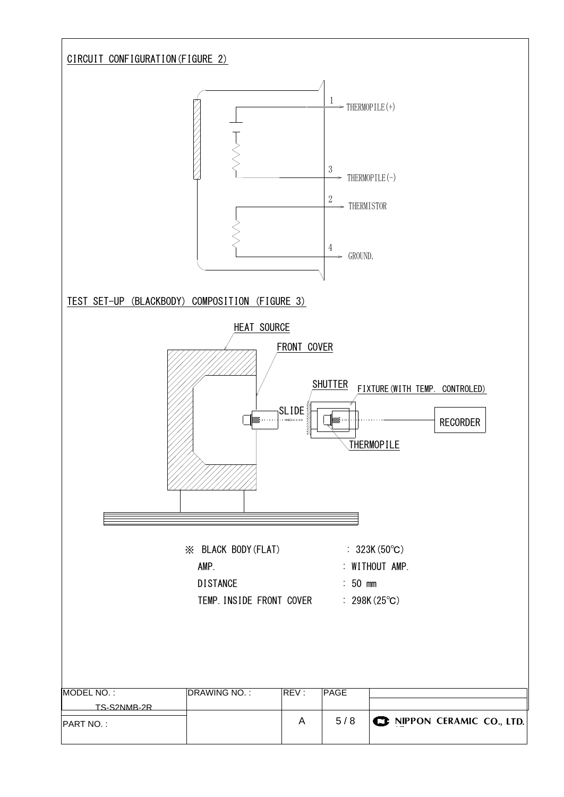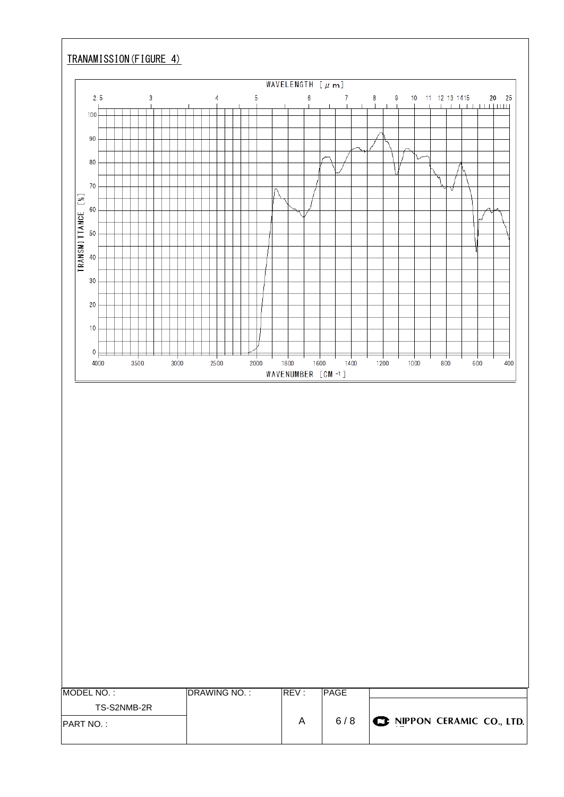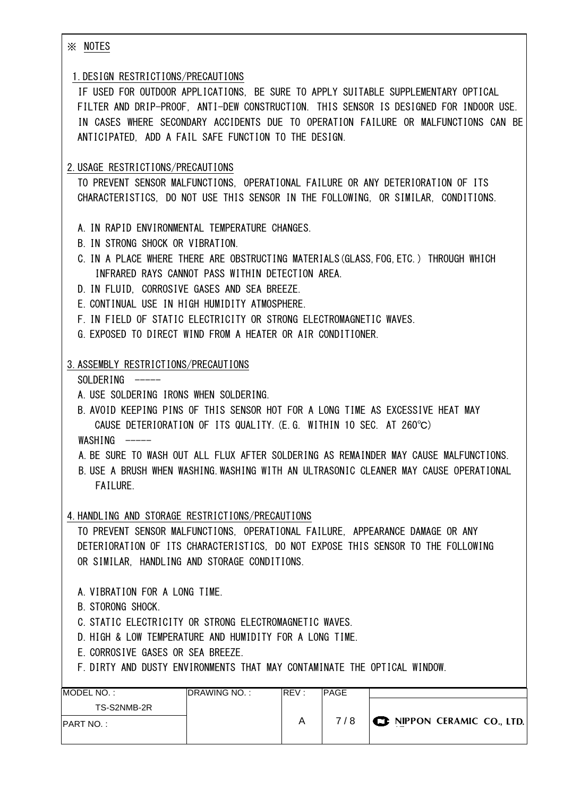※ NOTES

#### 1.DESIGN RESTRICTIONS/PRECAUTIONS

 IF USED FOR OUTDOOR APPLICATIONS, BE SURE TO APPLY SUITABLE SUPPLEMENTARY OPTICAL FILTER AND DRIP-PROOF, ANTI-DEW CONSTRUCTION. THIS SENSOR IS DESIGNED FOR INDOOR USE. IN CASES WHERE SECONDARY ACCIDENTS DUE TO OPERATION FAILURE OR MALFUNCTIONS CAN BE ANTICIPATED, ADD A FAIL SAFE FUNCTION TO THE DESIGN.

## 2.USAGE RESTRICTIONS/PRECAUTIONS

 TO PREVENT SENSOR MALFUNCTIONS, OPERATIONAL FAILURE OR ANY DETERIORATION OF ITS CHARACTERISTICS, DO NOT USE THIS SENSOR IN THE FOLLOWING, OR SIMILAR, CONDITIONS.

- A. IN RAPID ENVIRONMENTAL TEMPERATURE CHANGES.
- B. IN STRONG SHOCK OR VIBRATION.
- C. IN A PLACE WHERE THERE ARE OBSTRUCTING MATERIALS(GLASS,FOG,ETC.) THROUGH WHICH INFRARED RAYS CANNOT PASS WITHIN DETECTION AREA.
- D. IN FLUID, CORROSIVE GASES AND SEA BREEZE.
- E. CONTINUAL USE IN HIGH HUMIDITY ATMOSPHERE.
- F. IN FIELD OF STATIC ELECTRICITY OR STRONG ELECTROMAGNETIC WAVES.
- G. EXPOSED TO DIRECT WIND FROM A HEATER OR AIR CONDITIONER.

### 3.ASSEMBLY RESTRICTIONS/PRECAUTIONS

 $SOLDERING$   $---$ 

- A. USE SOLDERING IRONS WHEN SOLDERING.
- B. AVOID KEEPING PINS OF THIS SENSOR HOT FOR A LONG TIME AS EXCESSIVE HEAT MAY CAUSE DETERIORATION OF ITS QUALITY.(E.G. WITHIN 10 SEC. AT 260℃)  $WASHING$   $---$
- A.BE SURE TO WASH OUT ALL FLUX AFTER SOLDERING AS REMAINDER MAY CAUSE MALFUNCTIONS.
- B.USE A BRUSH WHEN WASHING.WASHING WITH AN ULTRASONIC CLEANER MAY CAUSE OPERATIONAL FAILURE.

### 4.HANDLING AND STORAGE RESTRICTIONS/PRECAUTIONS

 TO PREVENT SENSOR MALFUNCTIONS, OPERATIONAL FAILURE, APPEARANCE DAMAGE OR ANY DETERIORATION OF ITS CHARACTERISTICS, DO NOT EXPOSE THIS SENSOR TO THE FOLLOWING OR SIMILAR, HANDLING AND STORAGE CONDITIONS.

A. VIBRATION FOR A LONG TIME.

- B. STORONG SHOCK.
- C. STATIC ELECTRICITY OR STRONG ELECTROMAGNETIC WAVES.
- D. HIGH & LOW TEMPERATURE AND HUMIDITY FOR A LONG TIME.
- E. CORROSIVE GASES OR SEA BREEZE.
- F. DIRTY AND DUSTY ENVIRONMENTS THAT MAY CONTAMINATE THE OPTICAL WINDOW.

| MODEL NO. :      | <b>IDRAWING NO.:</b> | <b>IREV:</b> | <b>PAGE</b> |                                      |
|------------------|----------------------|--------------|-------------|--------------------------------------|
| TS-S2NMB-2R      |                      |              |             |                                      |
| <b>PART NO.:</b> |                      |              | 7/8         | $\mathbf G$ NIPPON CERAMIC CO., LTD. |
|                  |                      |              |             |                                      |